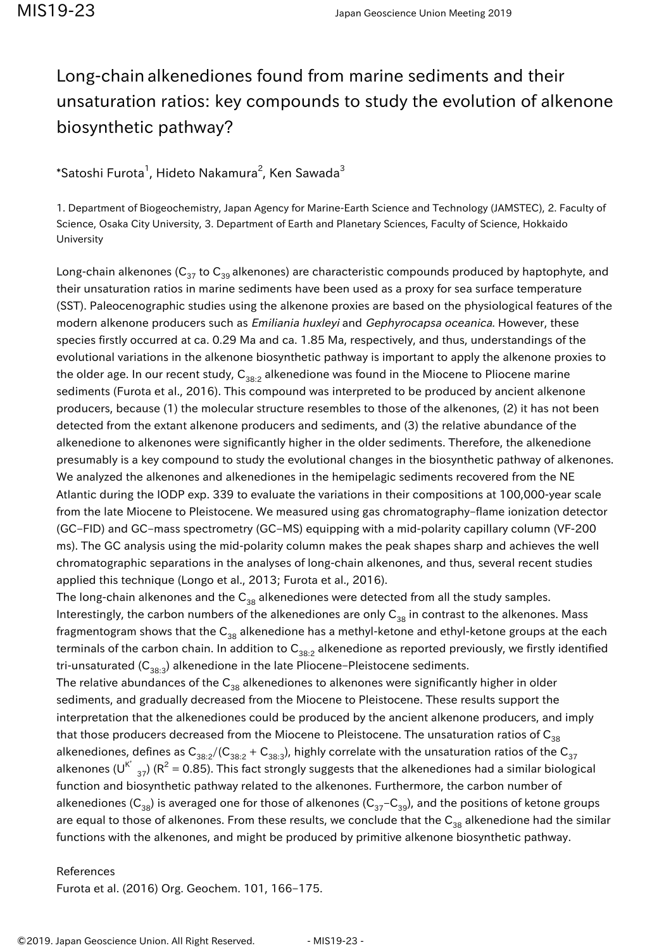## Long-chain alkenediones found from marine sediments and their unsaturation ratios: key compounds to study the evolution of alkenone biosynthetic pathway?

## $^*$ Satoshi Furota $^1$ , Hideto Nakamura $^2$ , Ken Sawada $^3$

1. Department of Biogeochemistry, Japan Agency for Marine-Earth Science and Technology (JAMSTEC), 2. Faculty of Science, Osaka City University, 3. Department of Earth and Planetary Sciences, Faculty of Science, Hokkaido University

Long-chain alkenones ( $C_{37}$  to  $C_{39}$  alkenones) are characteristic compounds produced by haptophyte, and their unsaturation ratios in marine sediments have been used as a proxy for sea surface temperature (SST). Paleocenographic studies using the alkenone proxies are based on the physiological features of the modern alkenone producers such as *Emiliania huxleyi* and Gephyrocapsa oceanica. However, these species firstly occurred at ca. 0.29 Ma and ca. 1.85 Ma, respectively, and thus, understandings of the evolutional variations in the alkenone biosynthetic pathway is important to apply the alkenone proxies to the older age. In our recent study,  $C_{38:2}$  alkenedione was found in the Miocene to Pliocene marine sediments (Furota et al., 2016). This compound was interpreted to be produced by ancient alkenone producers, because (1) the molecular structure resembles to those of the alkenones, (2) it has not been detected from the extant alkenone producers and sediments, and (3) the relative abundance of the alkenedione to alkenones were significantly higher in the older sediments. Therefore, the alkenedione presumably is a key compound to study the evolutional changes in the biosynthetic pathway of alkenones. We analyzed the alkenones and alkenediones in the hemipelagic sediments recovered from the NE Atlantic during the IODP exp. 339 to evaluate the variations in their compositions at 100,000-year scale from the late Miocene to Pleistocene. We measured using gas chromatography–flame ionization detector (GC–FID) and GC–mass spectrometry (GC–MS) equipping with a mid-polarity capillary column (VF-200 ms). The GC analysis using the mid-polarity column makes the peak shapes sharp and achieves the well chromatographic separations in the analyses of long-chain alkenones, and thus, several recent studies applied this technique (Longo et al., 2013; Furota et al., 2016).

The long-chain alkenones and the  $C_{38}$  alkenediones were detected from all the study samples. Interestingly, the carbon numbers of the alkenediones are only  $C_{38}$  in contrast to the alkenones. Mass fragmentogram shows that the  $C_{38}$  alkenedione has a methyl-ketone and ethyl-ketone groups at the each terminals of the carbon chain. In addition to  $C_{38:2}$  alkenedione as reported previously, we firstly identified tri-unsaturated  $(C_{38:3})$  alkenedione in the late Pliocene–Pleistocene sediments.

The relative abundances of the  $C_{38}$  alkenediones to alkenones were significantly higher in older sediments, and gradually decreased from the Miocene to Pleistocene. These results support the interpretation that the alkenediones could be produced by the ancient alkenone producers, and imply that those producers decreased from the Miocene to Pleistocene. The unsaturation ratios of  $C_{38}$ alkenediones, defines as  $C_{38:2}/(C_{38:2} + C_{38:3})$ , highly correlate with the unsaturation ratios of the  $C_{37}$ alkenones (U<sup>K'</sup> <sub>37</sub>) (R<sup>2</sup> = 0.85). This fact strongly suggests that the alkenediones had a similar biological function and biosynthetic pathway related to the alkenones. Furthermore, the carbon number of alkenediones ( $C_{38}$ ) is averaged one for those of alkenones ( $C_{37}-C_{39}$ ), and the positions of ketone groups are equal to those of alkenones. From these results, we conclude that the  $C_{38}$  alkenedione had the similar functions with the alkenones, and might be produced by primitive alkenone biosynthetic pathway.

## References

Furota et al. (2016) Org. Geochem. 101, 166–175.